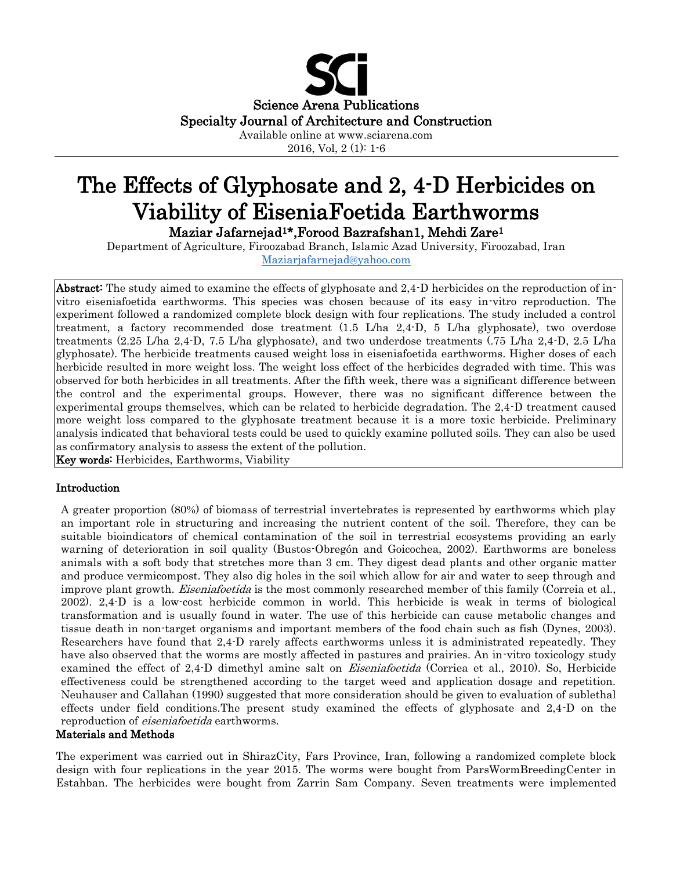

2016, Vol, 2 (1): 1-6

# The Effects of Glyphosate and 2, 4-D Herbicides on Viability of EiseniaFoetida Earthworms Maziar Jafarnejad1\*,Forood Bazrafshan1, Mehdi Zare<sup>1</sup>

Department of Agriculture, Firoozabad Branch, Islamic Azad University, Firoozabad, Iran [Maziarjafarnejad@yahoo.com](mailto:Maziarjafarnejad@yahoo.com)

Abstract: The study aimed to examine the effects of glyphosate and 2,4-D herbicides on the reproduction of invitro eiseniafoetida earthworms. This species was chosen because of its easy in-vitro reproduction. The experiment followed a randomized complete block design with four replications. The study included a control treatment, a factory recommended dose treatment (1.5 L/ha 2,4-D, 5 L/ha glyphosate), two overdose treatments (2.25 L/ha 2,4-D, 7.5 L/ha glyphosate), and two underdose treatments (.75 L/ha 2,4-D, 2.5 L/ha glyphosate). The herbicide treatments caused weight loss in eiseniafoetida earthworms. Higher doses of each herbicide resulted in more weight loss. The weight loss effect of the herbicides degraded with time. This was observed for both herbicides in all treatments. After the fifth week, there was a significant difference between the control and the experimental groups. However, there was no significant difference between the experimental groups themselves, which can be related to herbicide degradation. The 2,4-D treatment caused more weight loss compared to the glyphosate treatment because it is a more toxic herbicide. Preliminary analysis indicated that behavioral tests could be used to quickly examine polluted soils. They can also be used as confirmatory analysis to assess the extent of the pollution.

Key words: Herbicides, Earthworms, Viability

## Introduction

A greater proportion (80%) of biomass of terrestrial invertebrates is represented by earthworms which play an important role in structuring and increasing the nutrient content of the soil. Therefore, they can be suitable bioindicators of chemical contamination of the soil in terrestrial ecosystems providing an early warning of deterioration in soil quality (Bustos-Obregón and Goicochea, 2002). Earthworms are boneless animals with a soft body that stretches more than 3 cm. They digest dead plants and other organic matter and produce vermicompost. They also dig holes in the soil which allow for air and water to seep through and improve plant growth. *Eiseniafoetida* is the most commonly researched member of this family (Correia et al., 2002). 2,4-D is a low-cost herbicide common in world. This herbicide is weak in terms of biological transformation and is usually found in water. The use of this herbicide can cause metabolic changes and tissue death in non-target organisms and important members of the food chain such as fish (Dynes, 2003). Researchers have found that 2,4-D rarely affects earthworms unless it is administrated repeatedly. They have also observed that the worms are mostly affected in pastures and prairies. An in-vitro toxicology study examined the effect of 2,4-D dimethyl amine salt on *Eiseniafoetida* (Corriea et al., 2010). So, Herbicide effectiveness could be strengthened according to the target weed and application dosage and repetition. Neuhauser and Callahan (1990) suggested that more consideration should be given to evaluation of sublethal effects under field conditions.The present study examined the effects of glyphosate and 2,4-D on the reproduction of *eiseniafoetida* earthworms.

### Materials and Methods

The experiment was carried out in ShirazCity, Fars Province, Iran, following a randomized complete block design with four replications in the year 2015. The worms were bought from ParsWormBreedingCenter in Estahban. The herbicides were bought from Zarrin Sam Company. Seven treatments were implemented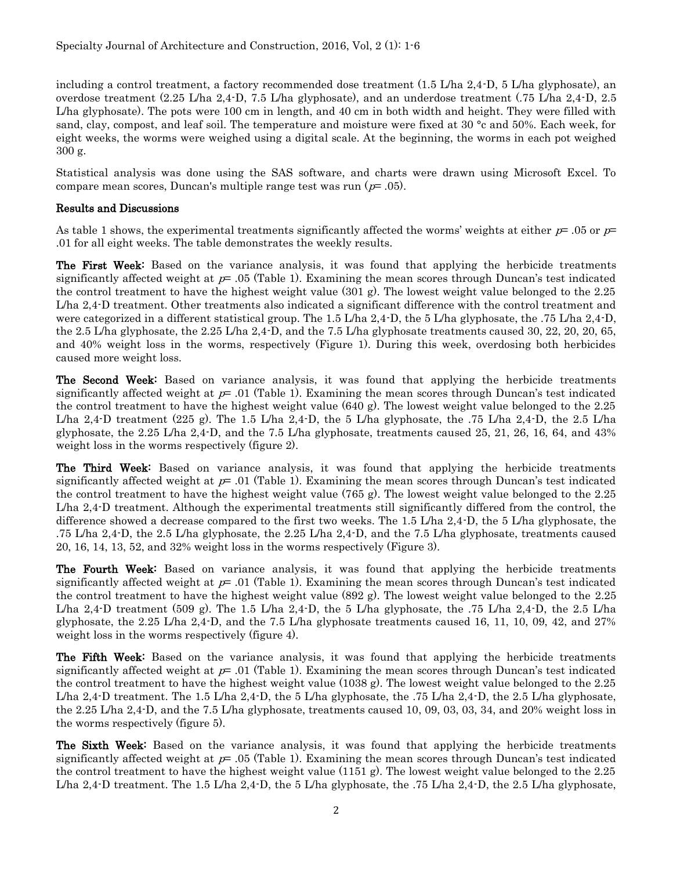including a control treatment, a factory recommended dose treatment (1.5 L/ha 2,4-D, 5 L/ha glyphosate), an overdose treatment (2.25 L/ha 2,4-D, 7.5 L/ha glyphosate), and an underdose treatment (.75 L/ha 2,4-D, 2.5 L/ha glyphosate). The pots were 100 cm in length, and 40 cm in both width and height. They were filled with sand, clay, compost, and leaf soil. The temperature and moisture were fixed at 30 °c and 50%. Each week, for eight weeks, the worms were weighed using a digital scale. At the beginning, the worms in each pot weighed 300 g.

Statistical analysis was done using the SAS software, and charts were drawn using Microsoft Excel. To compare mean scores, Duncan's multiple range test was run  $(p= .05)$ .

## Results and Discussions

As table 1 shows, the experimental treatments significantly affected the worms' weights at either  $p=$  .05 or  $p=$ .01 for all eight weeks. The table demonstrates the weekly results.

The First Week: Based on the variance analysis, it was found that applying the herbicide treatments significantly affected weight at  $p=0.05$  (Table 1). Examining the mean scores through Duncan's test indicated the control treatment to have the highest weight value (301 g). The lowest weight value belonged to the 2.25 L/ha 2,4-D treatment. Other treatments also indicated a significant difference with the control treatment and were categorized in a different statistical group. The 1.5 L/ha 2,4-D, the 5 L/ha glyphosate, the .75 L/ha 2,4-D, the 2.5 L/ha glyphosate, the 2.25 L/ha 2,4-D, and the 7.5 L/ha glyphosate treatments caused 30, 22, 20, 20, 65, and 40% weight loss in the worms, respectively (Figure 1). During this week, overdosing both herbicides caused more weight loss.

The Second Week: Based on variance analysis, it was found that applying the herbicide treatments significantly affected weight at  $p=0.01$  (Table 1). Examining the mean scores through Duncan's test indicated the control treatment to have the highest weight value (640 g). The lowest weight value belonged to the 2.25 L/ha 2,4-D treatment (225 g). The 1.5 L/ha 2,4-D, the 5 L/ha glyphosate, the .75 L/ha 2,4-D, the 2.5 L/ha glyphosate, the 2.25 L/ha 2,4-D, and the 7.5 L/ha glyphosate, treatments caused 25, 21, 26, 16, 64, and 43% weight loss in the worms respectively (figure 2).

**The Third Week:** Based on variance analysis, it was found that applying the herbicide treatments significantly affected weight at  $p=0.01$  (Table 1). Examining the mean scores through Duncan's test indicated the control treatment to have the highest weight value (765 g). The lowest weight value belonged to the 2.25 L/ha 2,4-D treatment. Although the experimental treatments still significantly differed from the control, the difference showed a decrease compared to the first two weeks. The 1.5 L/ha 2,4-D, the 5 L/ha glyphosate, the .75 L/ha 2,4-D, the 2.5 L/ha glyphosate, the 2.25 L/ha 2,4-D, and the 7.5 L/ha glyphosate, treatments caused 20, 16, 14, 13, 52, and 32% weight loss in the worms respectively (Figure 3).

The Fourth Week: Based on variance analysis, it was found that applying the herbicide treatments significantly affected weight at  $p=0.01$  (Table 1). Examining the mean scores through Duncan's test indicated the control treatment to have the highest weight value (892 g). The lowest weight value belonged to the 2.25 L/ha 2,4.D treatment (509 g). The 1.5 L/ha 2,4.D, the 5 L/ha glyphosate, the .75 L/ha 2,4.D, the 2.5 L/ha glyphosate, the 2.25 L/ha 2,4-D, and the 7.5 L/ha glyphosate treatments caused 16, 11, 10, 09, 42, and 27% weight loss in the worms respectively (figure 4).

The Fifth Week: Based on the variance analysis, it was found that applying the herbicide treatments significantly affected weight at  $p=0.01$  (Table 1). Examining the mean scores through Duncan's test indicated the control treatment to have the highest weight value (1038 g). The lowest weight value belonged to the 2.25 L/ha 2,4-D treatment. The 1.5 L/ha 2,4-D, the 5 L/ha glyphosate, the .75 L/ha 2,4-D, the 2.5 L/ha glyphosate, the 2.25 L/ha 2,4-D, and the 7.5 L/ha glyphosate, treatments caused 10, 09, 03, 03, 34, and 20% weight loss in the worms respectively (figure 5).

**The Sixth Week:** Based on the variance analysis, it was found that applying the herbicide treatments significantly affected weight at  $p=0.05$  (Table 1). Examining the mean scores through Duncan's test indicated the control treatment to have the highest weight value (1151 g). The lowest weight value belonged to the 2.25 L/ha 2,4-D treatment. The 1.5 L/ha 2,4-D, the 5 L/ha glyphosate, the .75 L/ha 2,4-D, the 2.5 L/ha glyphosate,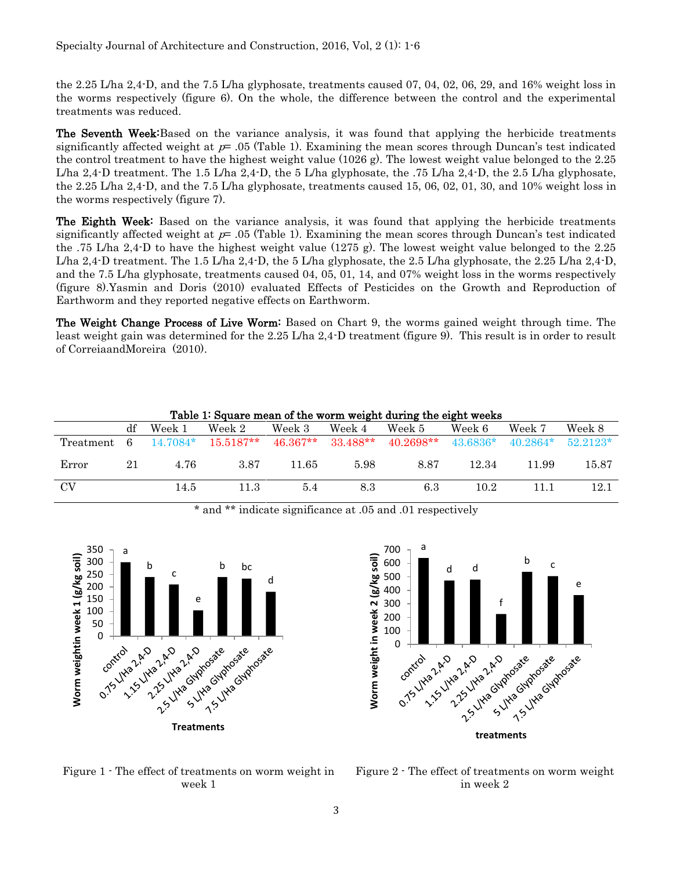the 2.25 L/ha 2,4-D, and the 7.5 L/ha glyphosate, treatments caused 07, 04, 02, 06, 29, and 16% weight loss in the worms respectively (figure 6). On the whole, the difference between the control and the experimental treatments was reduced.

The Seventh Week: Based on the variance analysis, it was found that applying the herbicide treatments significantly affected weight at  $p=0.05$  (Table 1). Examining the mean scores through Duncan's test indicated the control treatment to have the highest weight value (1026 g). The lowest weight value belonged to the 2.25 L/ha 2,4-D treatment. The 1.5 L/ha 2,4-D, the 5 L/ha glyphosate, the .75 L/ha 2,4-D, the 2.5 L/ha glyphosate, the 2.25 L/ha 2,4-D, and the 7.5 L/ha glyphosate, treatments caused 15, 06, 02, 01, 30, and 10% weight loss in the worms respectively (figure 7).

**The Eighth Week:** Based on the variance analysis, it was found that applying the herbicide treatments significantly affected weight at  $p=0.05$  (Table 1). Examining the mean scores through Duncan's test indicated the .75 L/ha 2,4-D to have the highest weight value (1275 g). The lowest weight value belonged to the 2.25 L/ha 2,4-D treatment. The 1.5 L/ha 2,4-D, the 5 L/ha glyphosate, the 2.5 L/ha glyphosate, the 2.25 L/ha 2,4-D, and the 7.5 L/ha glyphosate, treatments caused 04, 05, 01, 14, and 07% weight loss in the worms respectively (figure 8).Yasmin and Doris (2010) evaluated Effects of Pesticides on the Growth and Reproduction of Earthworm and they reported negative effects on Earthworm.

The Weight Change Process of Live Worm: Based on Chart 9, the worms gained weight through time. The least weight gain was determined for the 2.25 L/ha 2,4-D treatment (figure 9). This result is in order to result of [Correiaa](http://www.ncbi.nlm.nih.gov/pubmed/?term=Correia%20FV%5BAuthor%5D&cauthor=true&cauthor_uid=20658223)n[dMoreira](http://www.ncbi.nlm.nih.gov/pubmed/?term=Moreira%20JC%5BAuthor%5D&cauthor=true&cauthor_uid=20658223) (2010).

| Table 1: Square mean of the worm weight during the eight weeks |            |            |             |            |            |             |            |            |            |
|----------------------------------------------------------------|------------|------------|-------------|------------|------------|-------------|------------|------------|------------|
|                                                                | df         | Week 1     | Week 2      | Week 3     | Week 4     | Week 5      | Week 6     | Week 7     | Week 8     |
| Treatment                                                      | $\epsilon$ | $14.7084*$ | $15.5187**$ | $46.367**$ | $33.488**$ | $40.2698**$ | $43.6836*$ | $40.2864*$ | $52.2123*$ |
| Error                                                          | 21         | 4.76       | 3.87        | 11.65      | 5.98       | 8.87        | 12.34      | 11.99      | $15.87\,$  |
| <b>CV</b>                                                      |            | 14.5       | 11.3        | 5.4        | 8.3        | 6.3         | 10.2       |            | 12.1       |

\* and \*\* indicate significance at .05 and .01 respectively





Figure 1 - The effect of treatments on worm weight in week 1

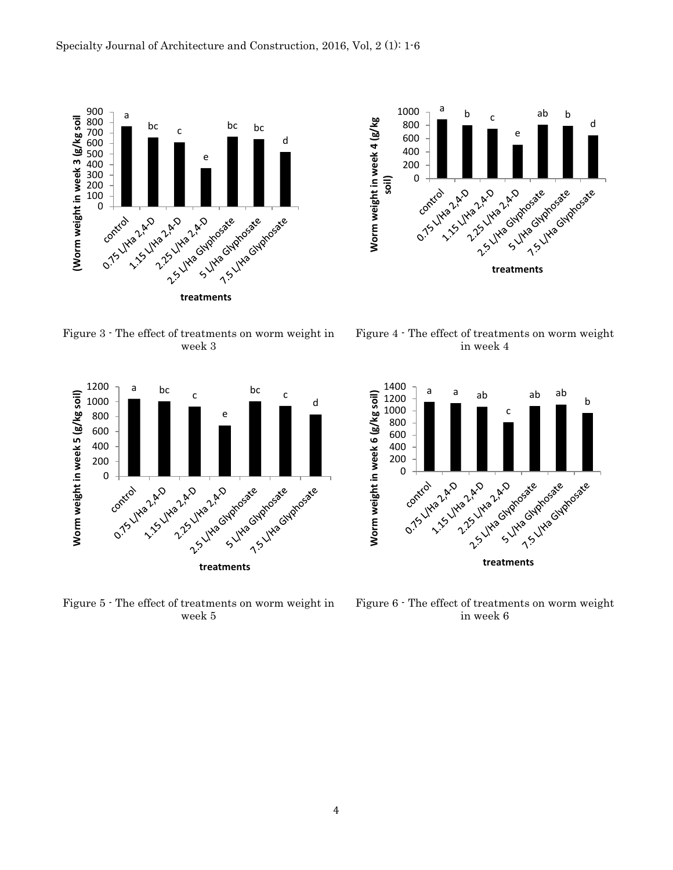





Figure 5 - The effect of treatments on worm weight in week 5



Figure 4 - The effect of treatments on worm weight in week 4



Figure 6 - The effect of treatments on worm weight in week 6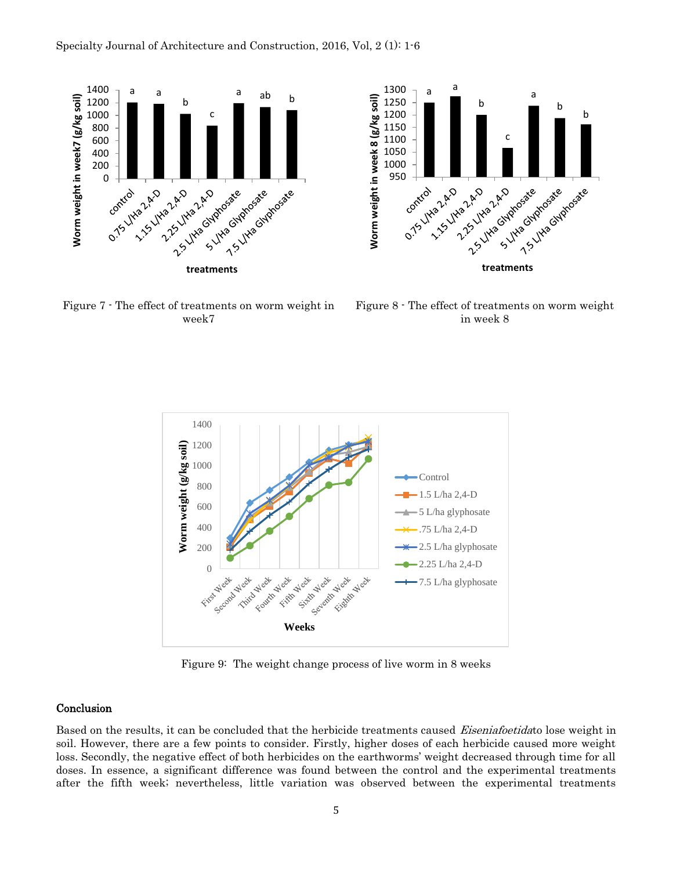



Figure 7 - The effect of treatments on worm weight in week7

Figure 8 - The effect of treatments on worm weight in week 8



Figure 9: The weight change process of live worm in 8 weeks

#### **Conclusion**

Based on the results, it can be concluded that the herbicide treatments caused Eiseniafoetidato lose weight in soil. However, there are a few points to consider. Firstly, higher doses of each herbicide caused more weight loss. Secondly, the negative effect of both herbicides on the earthworms' weight decreased through time for all doses. In essence, a significant difference was found between the control and the experimental treatments after the fifth week; nevertheless, little variation was observed between the experimental treatments